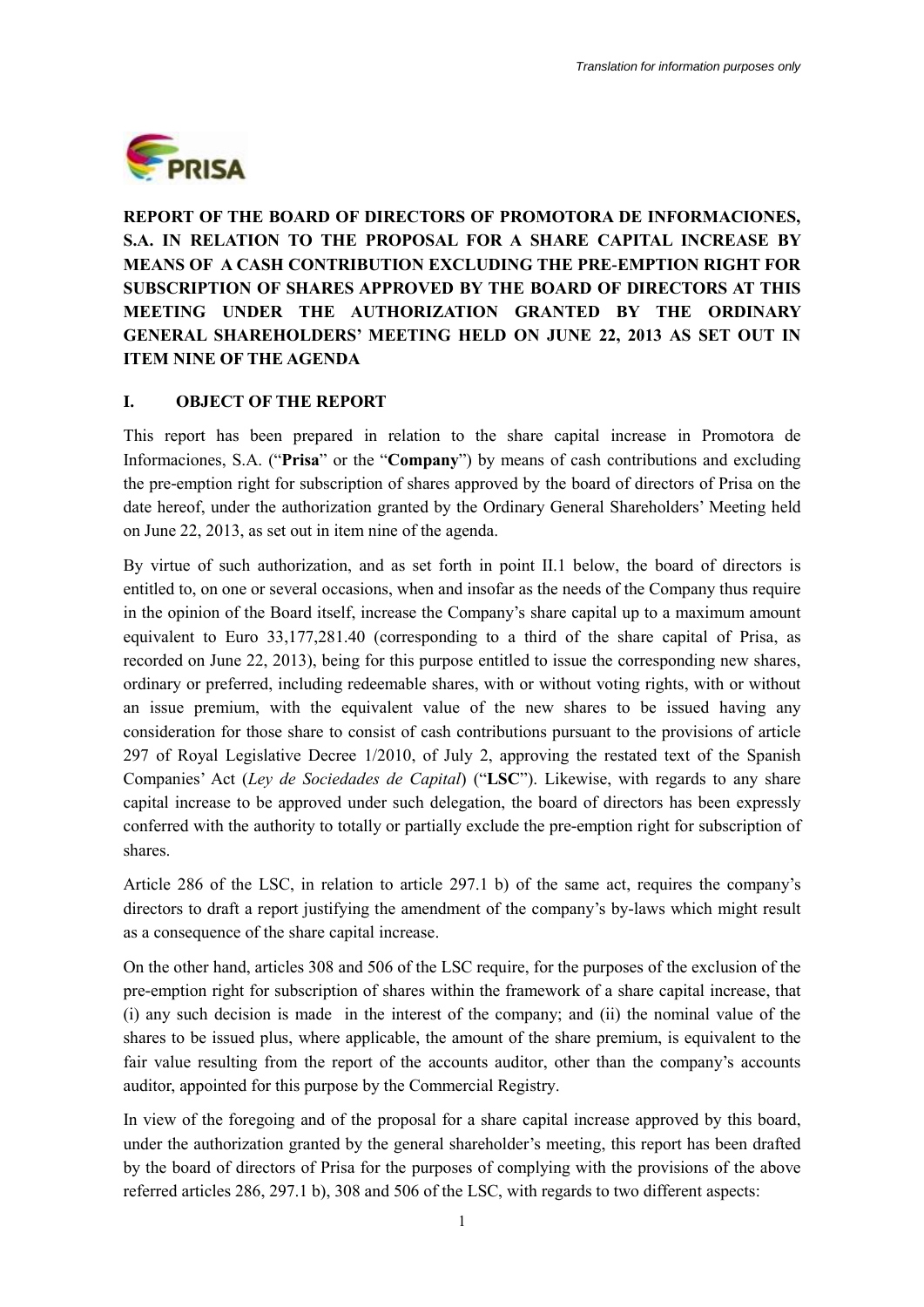

**REPORT OF THE BOARD OF DIRECTORS OF PROMOTORA DE INFORMACIONES, S.A. IN RELATION TO THE PROPOSAL FOR A SHARE CAPITAL INCREASE BY MEANS OF A CASH CONTRIBUTION EXCLUDING THE PRE-EMPTION RIGHT FOR SUBSCRIPTION OF SHARES APPROVED BY THE BOARD OF DIRECTORS AT THIS MEETING UNDER THE AUTHORIZATION GRANTED BY THE ORDINARY GENERAL SHAREHOLDERS' MEETING HELD ON JUNE 22, 2013 AS SET OUT IN ITEM NINE OF THE AGENDA**

#### **I. OBJECT OF THE REPORT**

This report has been prepared in relation to the share capital increase in Promotora de Informaciones, S.A. ("**Prisa**" or the "**Company**") by means of cash contributions and excluding the pre-emption right for subscription of shares approved by the board of directors of Prisa on the date hereof, under the authorization granted by the Ordinary General Shareholders' Meeting held on June 22, 2013, as set out in item nine of the agenda.

By virtue of such authorization, and as set forth in point II.1 below, the board of directors is entitled to, on one or several occasions, when and insofar as the needs of the Company thus require in the opinion of the Board itself, increase the Company's share capital up to a maximum amount equivalent to Euro 33,177,281.40 (corresponding to a third of the share capital of Prisa, as recorded on June 22, 2013), being for this purpose entitled to issue the corresponding new shares, ordinary or preferred, including redeemable shares, with or without voting rights, with or without an issue premium, with the equivalent value of the new shares to be issued having any consideration for those share to consist of cash contributions pursuant to the provisions of article 297 of Royal Legislative Decree 1/2010, of July 2, approving the restated text of the Spanish Companies' Act (*Ley de Sociedades de Capital*) ("**LSC**"). Likewise, with regards to any share capital increase to be approved under such delegation, the board of directors has been expressly conferred with the authority to totally or partially exclude the pre-emption right for subscription of shares.

Article 286 of the LSC, in relation to article 297.1 b) of the same act, requires the company's directors to draft a report justifying the amendment of the company's by-laws which might result as a consequence of the share capital increase.

On the other hand, articles 308 and 506 of the LSC require, for the purposes of the exclusion of the pre-emption right for subscription of shares within the framework of a share capital increase, that (i) any such decision is made in the interest of the company; and (ii) the nominal value of the shares to be issued plus, where applicable, the amount of the share premium, is equivalent to the fair value resulting from the report of the accounts auditor, other than the company's accounts auditor, appointed for this purpose by the Commercial Registry.

In view of the foregoing and of the proposal for a share capital increase approved by this board, under the authorization granted by the general shareholder's meeting, this report has been drafted by the board of directors of Prisa for the purposes of complying with the provisions of the above referred articles 286, 297.1 b), 308 and 506 of the LSC, with regards to two different aspects: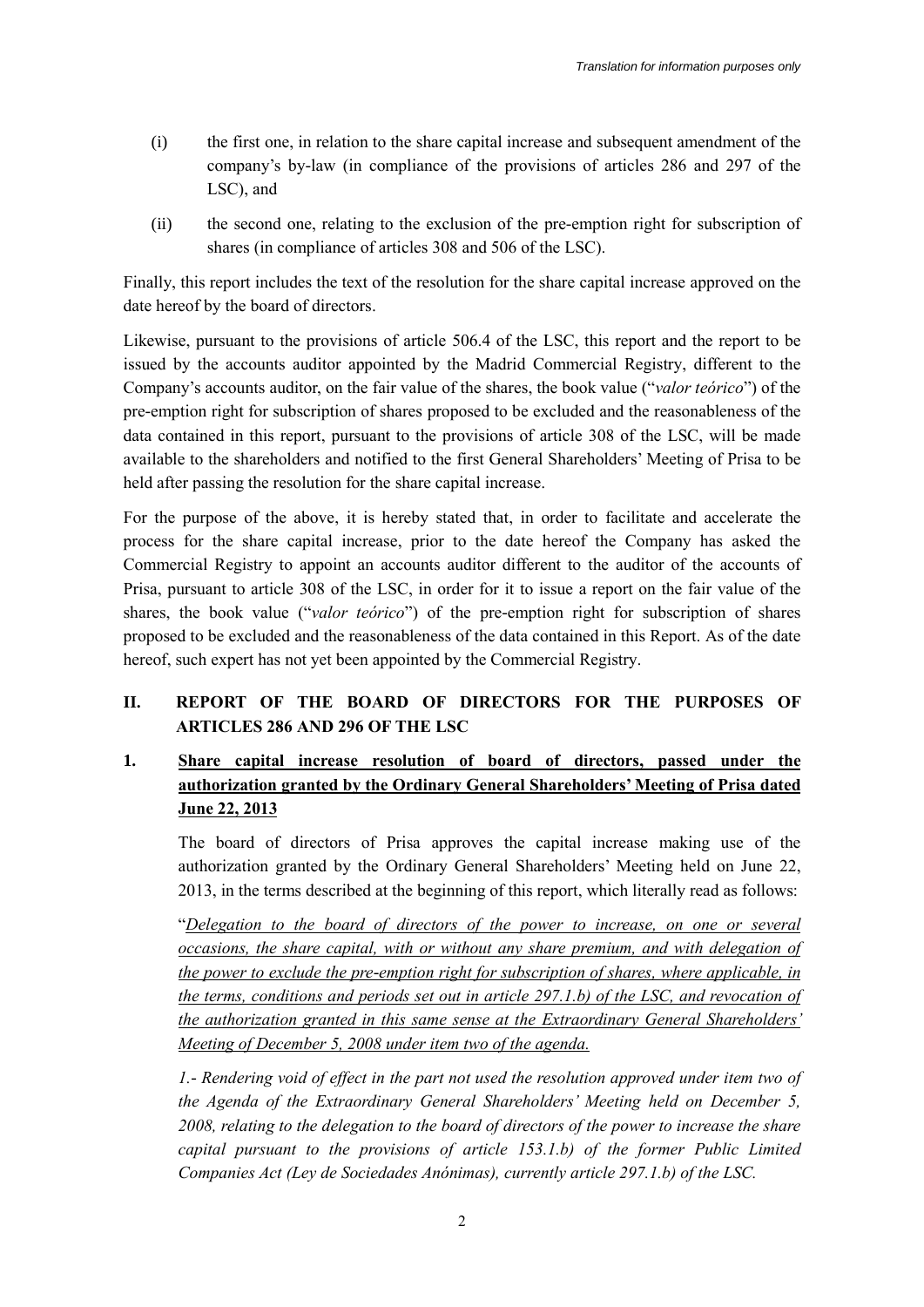- (i) the first one, in relation to the share capital increase and subsequent amendment of the company's by-law (in compliance of the provisions of articles 286 and 297 of the LSC), and
- (ii) the second one, relating to the exclusion of the pre-emption right for subscription of shares (in compliance of articles 308 and 506 of the LSC).

Finally, this report includes the text of the resolution for the share capital increase approved on the date hereof by the board of directors.

Likewise, pursuant to the provisions of article 506.4 of the LSC, this report and the report to be issued by the accounts auditor appointed by the Madrid Commercial Registry, different to the Company's accounts auditor, on the fair value of the shares, the book value ("*valor teórico*") of the pre-emption right for subscription of shares proposed to be excluded and the reasonableness of the data contained in this report, pursuant to the provisions of article 308 of the LSC, will be made available to the shareholders and notified to the first General Shareholders' Meeting of Prisa to be held after passing the resolution for the share capital increase.

For the purpose of the above, it is hereby stated that, in order to facilitate and accelerate the process for the share capital increase, prior to the date hereof the Company has asked the Commercial Registry to appoint an accounts auditor different to the auditor of the accounts of Prisa, pursuant to article 308 of the LSC, in order for it to issue a report on the fair value of the shares, the book value ("*valor teórico*") of the pre-emption right for subscription of shares proposed to be excluded and the reasonableness of the data contained in this Report. As of the date hereof, such expert has not yet been appointed by the Commercial Registry.

## **II. REPORT OF THE BOARD OF DIRECTORS FOR THE PURPOSES OF ARTICLES 286 AND 296 OF THE LSC**

## **1. Share capital increase resolution of board of directors, passed under the authorization granted by the Ordinary General Shareholders' Meeting of Prisa dated June 22, 2013**

The board of directors of Prisa approves the capital increase making use of the authorization granted by the Ordinary General Shareholders' Meeting held on June 22, 2013, in the terms described at the beginning of this report, which literally read as follows:

"*Delegation to the board of directors of the power to increase, on one or several occasions, the share capital, with or without any share premium, and with delegation of the power to exclude the pre-emption right for subscription of shares, where applicable, in the terms, conditions and periods set out in article 297.1.b) of the LSC, and revocation of the authorization granted in this same sense at the Extraordinary General Shareholders' Meeting of December 5, 2008 under item two of the agenda.*

*1.- Rendering void of effect in the part not used the resolution approved under item two of the Agenda of the Extraordinary General Shareholders' Meeting held on December 5, 2008, relating to the delegation to the board of directors of the power to increase the share capital pursuant to the provisions of article 153.1.b) of the former Public Limited Companies Act (Ley de Sociedades Anónimas), currently article 297.1.b) of the LSC.*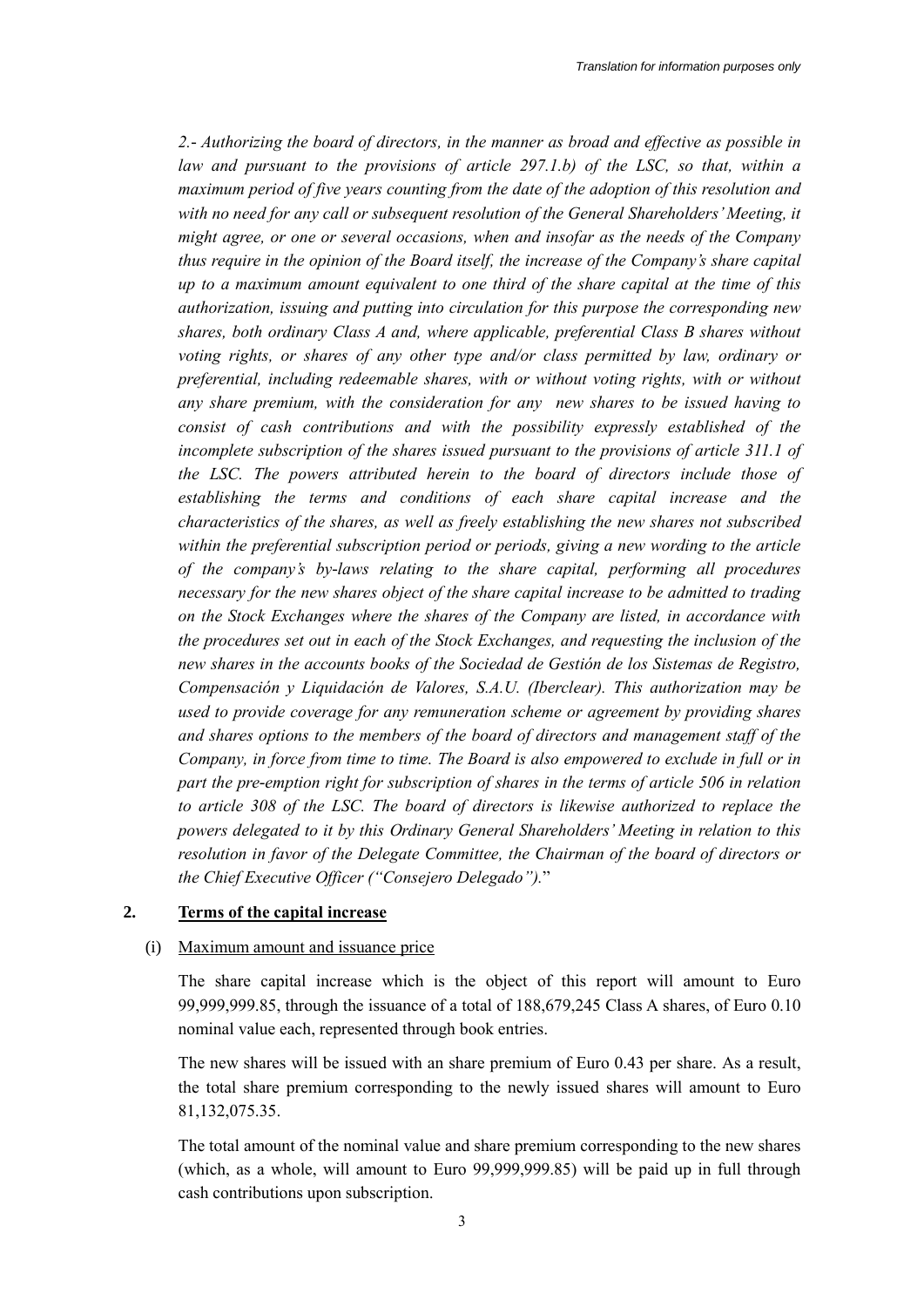*2.- Authorizing the board of directors, in the manner as broad and effective as possible in law and pursuant to the provisions of article 297.1.b) of the LSC, so that, within a maximum period of five years counting from the date of the adoption of this resolution and with no need for any call or subsequent resolution of the General Shareholders' Meeting, it might agree, or one or several occasions, when and insofar as the needs of the Company thus require in the opinion of the Board itself, the increase of the Company's share capital up to a maximum amount equivalent to one third of the share capital at the time of this authorization, issuing and putting into circulation for this purpose the corresponding new shares, both ordinary Class A and, where applicable, preferential Class B shares without voting rights, or shares of any other type and/or class permitted by law, ordinary or preferential, including redeemable shares, with or without voting rights, with or without any share premium, with the consideration for any new shares to be issued having to consist of cash contributions and with the possibility expressly established of the incomplete subscription of the shares issued pursuant to the provisions of article 311.1 of the LSC. The powers attributed herein to the board of directors include those of establishing the terms and conditions of each share capital increase and the characteristics of the shares, as well as freely establishing the new shares not subscribed within the preferential subscription period or periods, giving a new wording to the article of the company's by-laws relating to the share capital, performing all procedures necessary for the new shares object of the share capital increase to be admitted to trading on the Stock Exchanges where the shares of the Company are listed, in accordance with the procedures set out in each of the Stock Exchanges, and requesting the inclusion of the new shares in the accounts books of the Sociedad de Gestión de los Sistemas de Registro, Compensación y Liquidación de Valores, S.A.U. (Iberclear). This authorization may be used to provide coverage for any remuneration scheme or agreement by providing shares and shares options to the members of the board of directors and management staff of the Company, in force from time to time. The Board is also empowered to exclude in full or in part the pre-emption right for subscription of shares in the terms of article 506 in relation to article 308 of the LSC. The board of directors is likewise authorized to replace the powers delegated to it by this Ordinary General Shareholders' Meeting in relation to this resolution in favor of the Delegate Committee, the Chairman of the board of directors or the Chief Executive Officer ("Consejero Delegado").*"

#### **2. Terms of the capital increase**

#### (i) Maximum amount and issuance price

The share capital increase which is the object of this report will amount to Euro 99,999,999.85, through the issuance of a total of 188,679,245 Class A shares, of Euro 0.10 nominal value each, represented through book entries.

The new shares will be issued with an share premium of Euro 0.43 per share. As a result, the total share premium corresponding to the newly issued shares will amount to Euro 81,132,075.35.

The total amount of the nominal value and share premium corresponding to the new shares (which, as a whole, will amount to Euro 99,999,999.85) will be paid up in full through cash contributions upon subscription.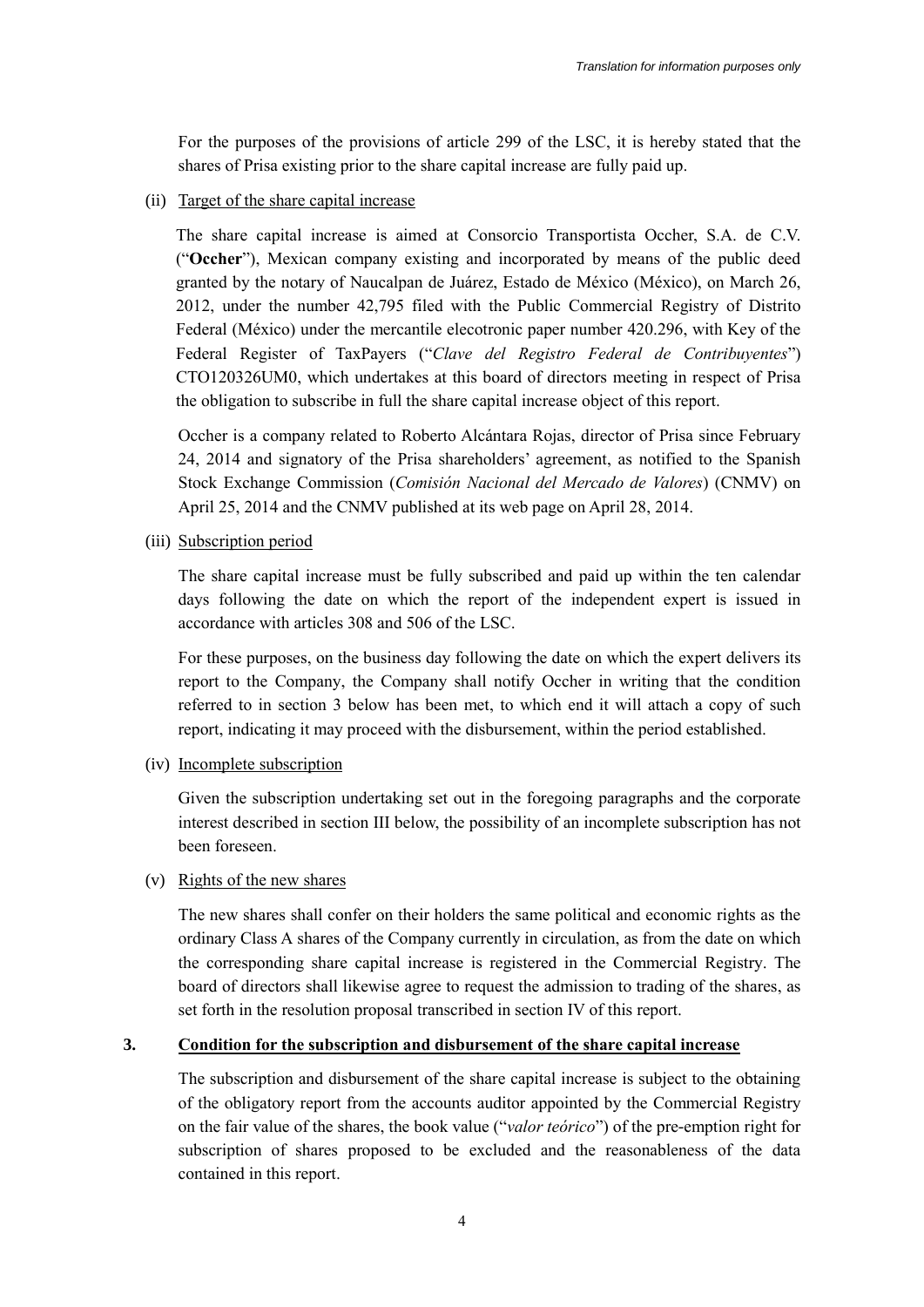For the purposes of the provisions of article 299 of the LSC, it is hereby stated that the shares of Prisa existing prior to the share capital increase are fully paid up.

(ii) Target of the share capital increase

The share capital increase is aimed at Consorcio Transportista Occher, S.A. de C.V. ("**Occher**"), Mexican company existing and incorporated by means of the public deed granted by the notary of Naucalpan de Juárez, Estado de México (México), on March 26, 2012, under the number 42,795 filed with the Public Commercial Registry of Distrito Federal (México) under the mercantile elecotronic paper number 420.296, with Key of the Federal Register of TaxPayers ("*Clave del Registro Federal de Contribuyentes*") CTO120326UM0, which undertakes at this board of directors meeting in respect of Prisa the obligation to subscribe in full the share capital increase object of this report.

Occher is a company related to Roberto Alcántara Rojas, director of Prisa since February 24, 2014 and signatory of the Prisa shareholders' agreement, as notified to the Spanish Stock Exchange Commission (*Comisión Nacional del Mercado de Valores*) (CNMV) on April 25, 2014 and the CNMV published at its web page on April 28, 2014.

(iii) Subscription period

The share capital increase must be fully subscribed and paid up within the ten calendar days following the date on which the report of the independent expert is issued in accordance with articles 308 and 506 of the LSC.

For these purposes, on the business day following the date on which the expert delivers its report to the Company, the Company shall notify Occher in writing that the condition referred to in section 3 below has been met, to which end it will attach a copy of such report, indicating it may proceed with the disbursement, within the period established.

(iv) Incomplete subscription

Given the subscription undertaking set out in the foregoing paragraphs and the corporate interest described in section III below, the possibility of an incomplete subscription has not been foreseen.

(v) Rights of the new shares

The new shares shall confer on their holders the same political and economic rights as the ordinary Class A shares of the Company currently in circulation, as from the date on which the corresponding share capital increase is registered in the Commercial Registry. The board of directors shall likewise agree to request the admission to trading of the shares, as set forth in the resolution proposal transcribed in section IV of this report.

#### **3. Condition for the subscription and disbursement of the share capital increase**

The subscription and disbursement of the share capital increase is subject to the obtaining of the obligatory report from the accounts auditor appointed by the Commercial Registry on the fair value of the shares, the book value ("*valor teórico*") of the pre-emption right for subscription of shares proposed to be excluded and the reasonableness of the data contained in this report.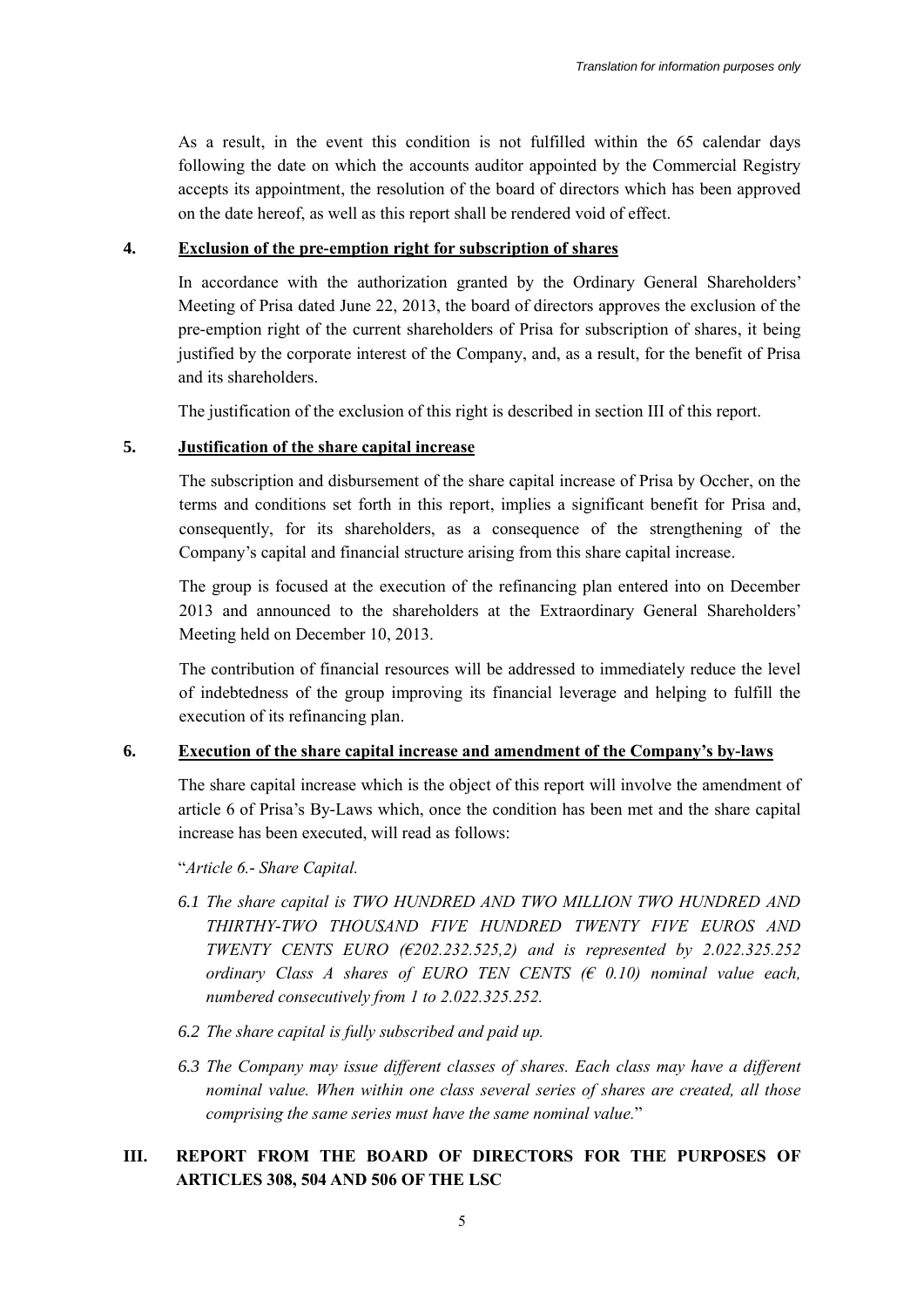As a result, in the event this condition is not fulfilled within the 65 calendar days following the date on which the accounts auditor appointed by the Commercial Registry accepts its appointment, the resolution of the board of directors which has been approved on the date hereof, as well as this report shall be rendered void of effect.

#### **4. Exclusion of the pre-emption right for subscription of shares**

In accordance with the authorization granted by the Ordinary General Shareholders' Meeting of Prisa dated June 22, 2013, the board of directors approves the exclusion of the pre-emption right of the current shareholders of Prisa for subscription of shares, it being justified by the corporate interest of the Company, and, as a result, for the benefit of Prisa and its shareholders.

The justification of the exclusion of this right is described in section III of this report.

#### **5. Justification of the share capital increase**

The subscription and disbursement of the share capital increase of Prisa by Occher, on the terms and conditions set forth in this report, implies a significant benefit for Prisa and, consequently, for its shareholders, as a consequence of the strengthening of the Company's capital and financial structure arising from this share capital increase.

The group is focused at the execution of the refinancing plan entered into on December 2013 and announced to the shareholders at the Extraordinary General Shareholders' Meeting held on December 10, 2013.

The contribution of financial resources will be addressed to immediately reduce the level of indebtedness of the group improving its financial leverage and helping to fulfill the execution of its refinancing plan.

#### **6. Execution of the share capital increase and amendment of the Company's by-laws**

The share capital increase which is the object of this report will involve the amendment of article 6 of Prisa's By-Laws which, once the condition has been met and the share capital increase has been executed, will read as follows:

"*Article 6.- Share Capital.* 

- *6.1 The share capital is TWO HUNDRED AND TWO MILLION TWO HUNDRED AND THIRTHY-TWO THOUSAND FIVE HUNDRED TWENTY FIVE EUROS AND TWENTY CENTS EURO (€202.232.525,2) and is represented by 2.022.325.252 ordinary Class A shares of EURO TEN CENTS (€ 0.10) nominal value each, numbered consecutively from 1 to 2.022.325.252.*
- *6.2 The share capital is fully subscribed and paid up.*
- *6.3 The Company may issue different classes of shares. Each class may have a different nominal value. When within one class several series of shares are created, all those comprising the same series must have the same nominal value.*"

### **III. REPORT FROM THE BOARD OF DIRECTORS FOR THE PURPOSES OF ARTICLES 308, 504 AND 506 OF THE LSC**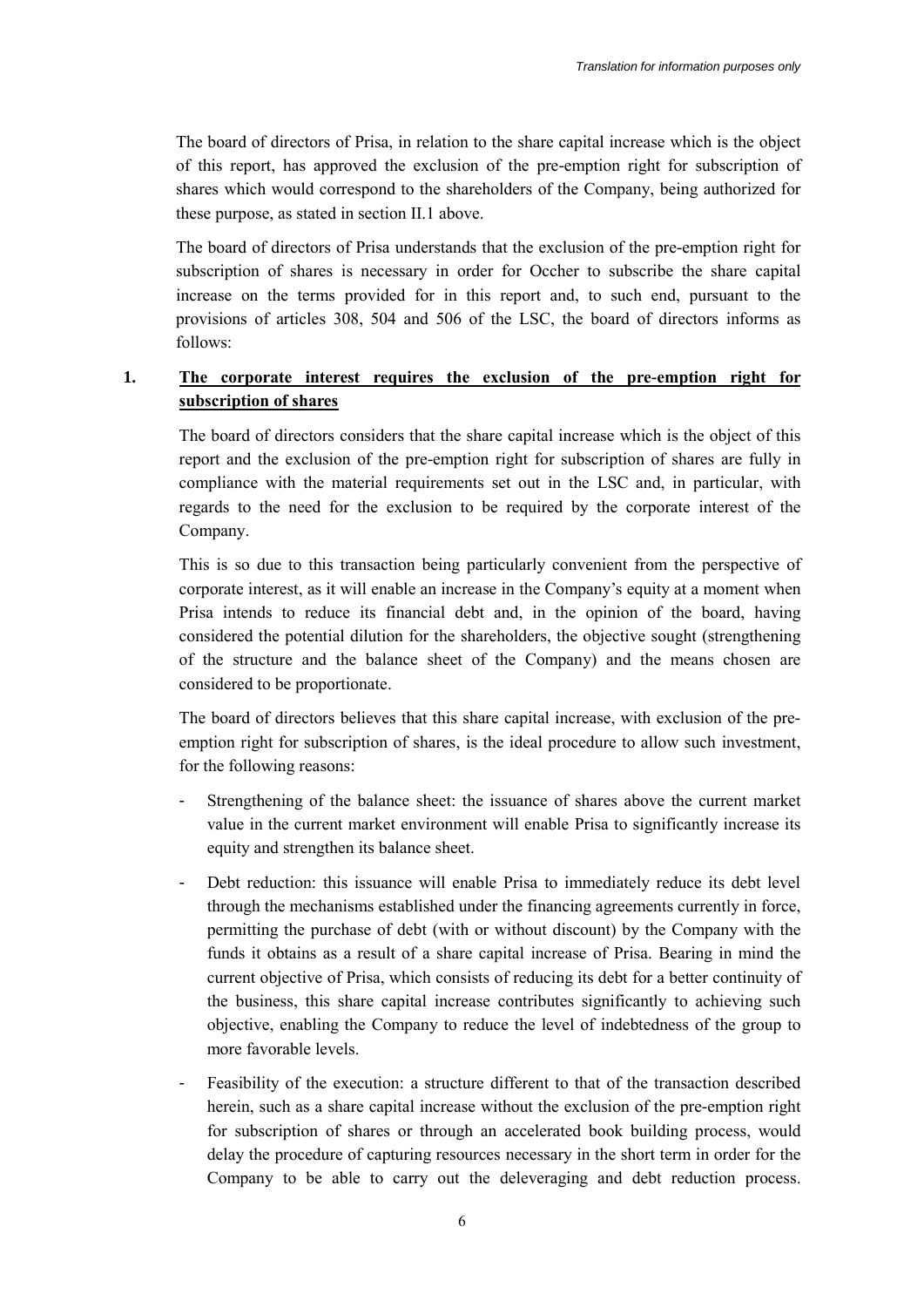The board of directors of Prisa, in relation to the share capital increase which is the object of this report, has approved the exclusion of the pre-emption right for subscription of shares which would correspond to the shareholders of the Company, being authorized for these purpose, as stated in section II.1 above.

The board of directors of Prisa understands that the exclusion of the pre-emption right for subscription of shares is necessary in order for Occher to subscribe the share capital increase on the terms provided for in this report and, to such end, pursuant to the provisions of articles 308, 504 and 506 of the LSC, the board of directors informs as follows:

## **1. The corporate interest requires the exclusion of the pre-emption right for subscription of shares**

The board of directors considers that the share capital increase which is the object of this report and the exclusion of the pre-emption right for subscription of shares are fully in compliance with the material requirements set out in the LSC and, in particular, with regards to the need for the exclusion to be required by the corporate interest of the Company.

This is so due to this transaction being particularly convenient from the perspective of corporate interest, as it will enable an increase in the Company's equity at a moment when Prisa intends to reduce its financial debt and, in the opinion of the board, having considered the potential dilution for the shareholders, the objective sought (strengthening of the structure and the balance sheet of the Company) and the means chosen are considered to be proportionate.

The board of directors believes that this share capital increase, with exclusion of the preemption right for subscription of shares, is the ideal procedure to allow such investment, for the following reasons:

- Strengthening of the balance sheet: the issuance of shares above the current market value in the current market environment will enable Prisa to significantly increase its equity and strengthen its balance sheet.
- Debt reduction: this issuance will enable Prisa to immediately reduce its debt level through the mechanisms established under the financing agreements currently in force, permitting the purchase of debt (with or without discount) by the Company with the funds it obtains as a result of a share capital increase of Prisa. Bearing in mind the current objective of Prisa, which consists of reducing its debt for a better continuity of the business, this share capital increase contributes significantly to achieving such objective, enabling the Company to reduce the level of indebtedness of the group to more favorable levels.
- Feasibility of the execution: a structure different to that of the transaction described herein, such as a share capital increase without the exclusion of the pre-emption right for subscription of shares or through an accelerated book building process, would delay the procedure of capturing resources necessary in the short term in order for the Company to be able to carry out the deleveraging and debt reduction process.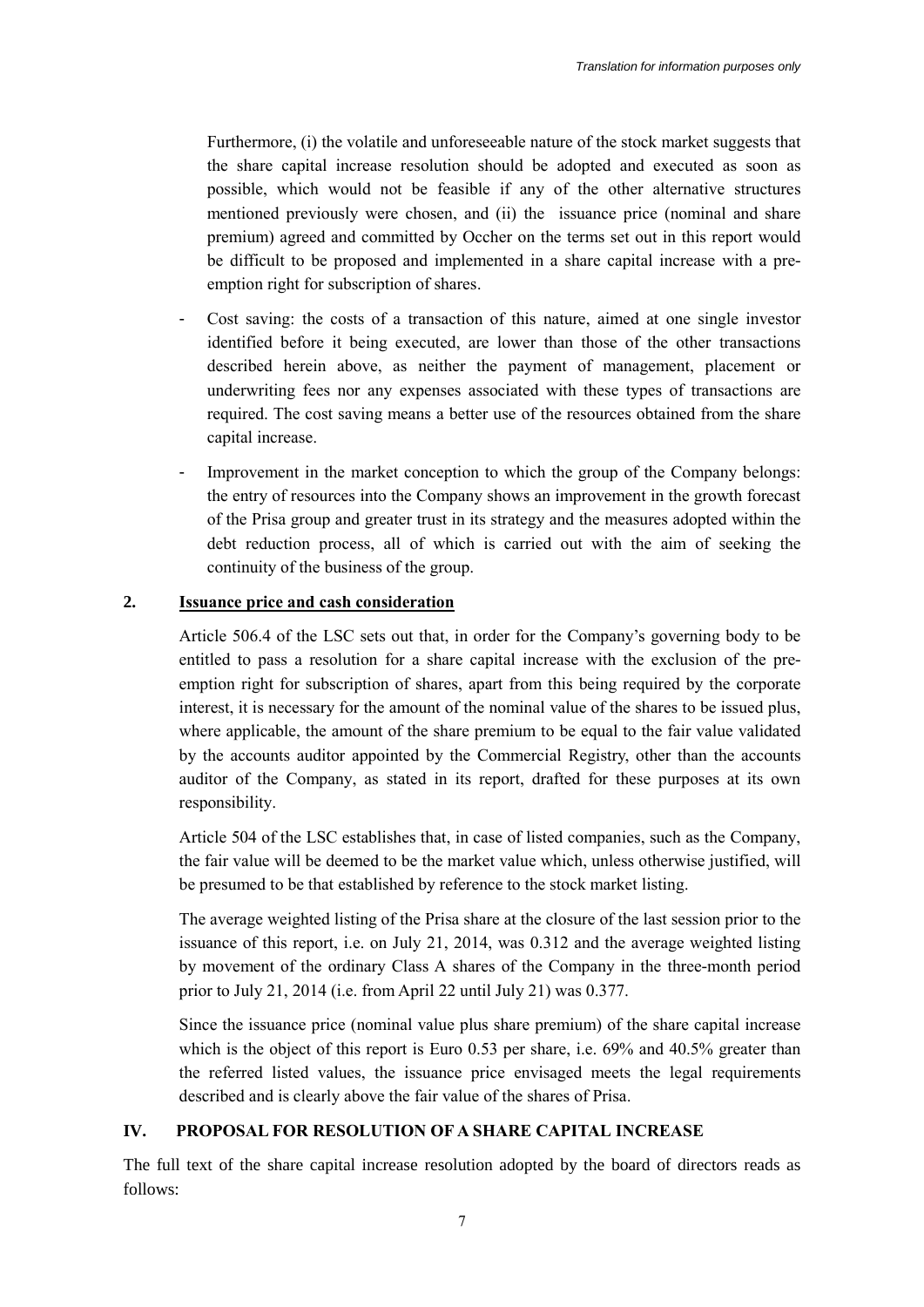Furthermore, (i) the volatile and unforeseeable nature of the stock market suggests that the share capital increase resolution should be adopted and executed as soon as possible, which would not be feasible if any of the other alternative structures mentioned previously were chosen, and (ii) the issuance price (nominal and share premium) agreed and committed by Occher on the terms set out in this report would be difficult to be proposed and implemented in a share capital increase with a preemption right for subscription of shares.

- Cost saving: the costs of a transaction of this nature, aimed at one single investor identified before it being executed, are lower than those of the other transactions described herein above, as neither the payment of management, placement or underwriting fees nor any expenses associated with these types of transactions are required. The cost saving means a better use of the resources obtained from the share capital increase.
- Improvement in the market conception to which the group of the Company belongs: the entry of resources into the Company shows an improvement in the growth forecast of the Prisa group and greater trust in its strategy and the measures adopted within the debt reduction process, all of which is carried out with the aim of seeking the continuity of the business of the group.

#### **2. Issuance price and cash consideration**

Article 506.4 of the LSC sets out that, in order for the Company's governing body to be entitled to pass a resolution for a share capital increase with the exclusion of the preemption right for subscription of shares, apart from this being required by the corporate interest, it is necessary for the amount of the nominal value of the shares to be issued plus, where applicable, the amount of the share premium to be equal to the fair value validated by the accounts auditor appointed by the Commercial Registry, other than the accounts auditor of the Company, as stated in its report, drafted for these purposes at its own responsibility.

Article 504 of the LSC establishes that, in case of listed companies, such as the Company, the fair value will be deemed to be the market value which, unless otherwise justified, will be presumed to be that established by reference to the stock market listing.

The average weighted listing of the Prisa share at the closure of the last session prior to the issuance of this report, i.e. on July 21, 2014, was 0.312 and the average weighted listing by movement of the ordinary Class A shares of the Company in the three-month period prior to July 21, 2014 (i.e. from April 22 until July 21) was 0.377.

Since the issuance price (nominal value plus share premium) of the share capital increase which is the object of this report is Euro 0.53 per share, i.e. 69% and 40.5% greater than the referred listed values, the issuance price envisaged meets the legal requirements described and is clearly above the fair value of the shares of Prisa.

#### **IV. PROPOSAL FOR RESOLUTION OF A SHARE CAPITAL INCREASE**

The full text of the share capital increase resolution adopted by the board of directors reads as follows: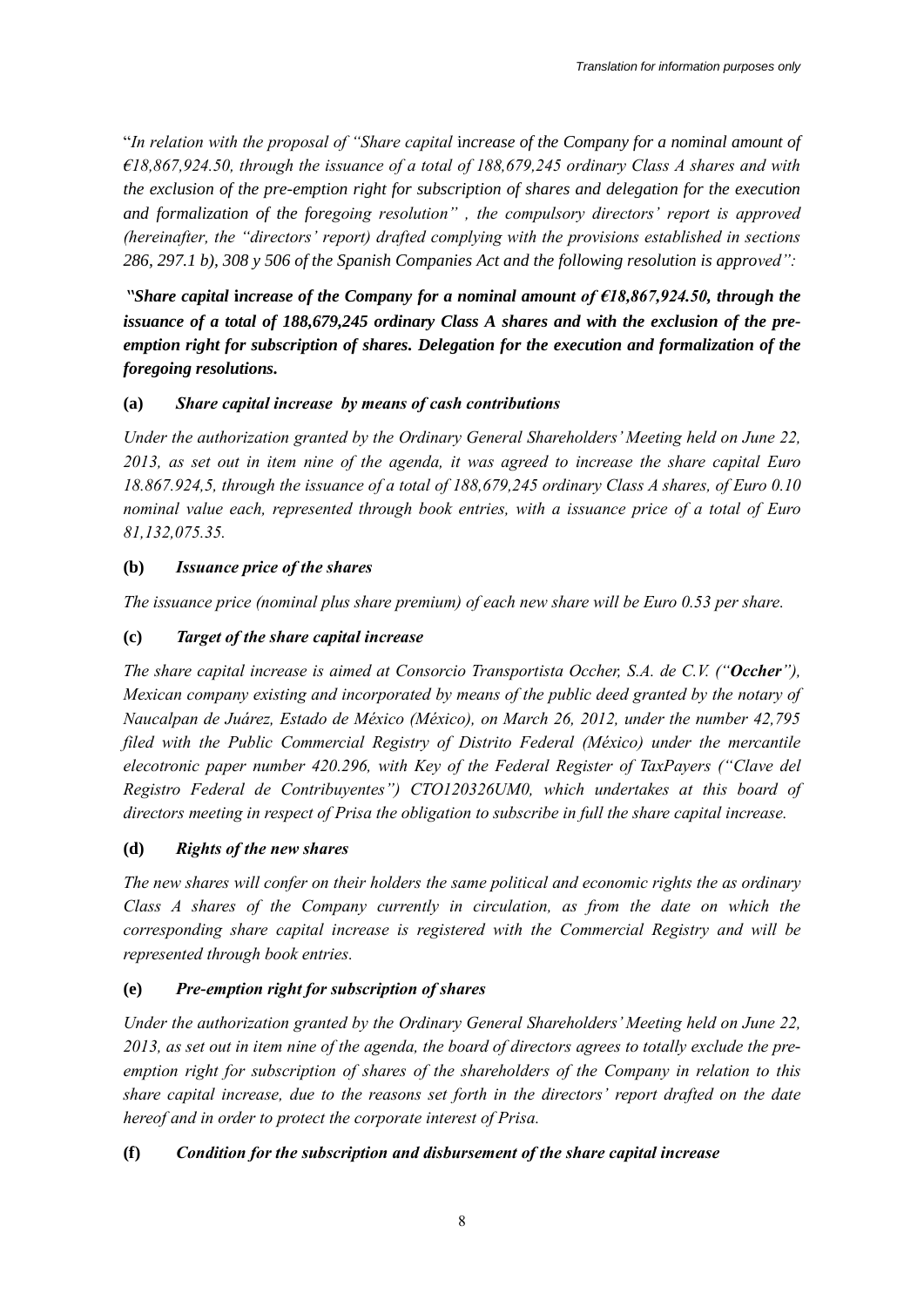"*In relation with the proposal of "Share capital* i*ncrease of the Company for a nominal amount of €18,867,924.50, through the issuance of a total of 188,679,245 ordinary Class A shares and with the exclusion of the pre-emption right for subscription of shares and delegation for the execution and formalization of the foregoing resolution" , the compulsory directors' report is approved (hereinafter, the "directors' report) drafted complying with the provisions established in sections 286, 297.1 b), 308 y 506 of the Spanish Companies Act and the following resolution is approved":*

*"Share capital* **i***ncrease of the Company for a nominal amount of €18,867,924.50, through the issuance of a total of 188,679,245 ordinary Class A shares and with the exclusion of the preemption right for subscription of shares. Delegation for the execution and formalization of the foregoing resolutions.* 

## **(a)** *Share capital increase by means of cash contributions*

*Under the authorization granted by the Ordinary General Shareholders' Meeting held on June 22, 2013, as set out in item nine of the agenda, it was agreed to increase the share capital Euro 18.867.924,5, through the issuance of a total of 188,679,245 ordinary Class A shares, of Euro 0.10 nominal value each, represented through book entries, with a issuance price of a total of Euro 81,132,075.35.* 

## **(b)** *Issuance price of the shares*

*The issuance price (nominal plus share premium) of each new share will be Euro 0.53 per share.* 

## **(c)** *Target of the share capital increase*

*The share capital increase is aimed at Consorcio Transportista Occher, S.A. de C.V. ("Occher"), Mexican company existing and incorporated by means of the public deed granted by the notary of Naucalpan de Juárez, Estado de México (México), on March 26, 2012, under the number 42,795 filed with the Public Commercial Registry of Distrito Federal (México) under the mercantile elecotronic paper number 420.296, with Key of the Federal Register of TaxPayers ("Clave del Registro Federal de Contribuyentes") CTO120326UM0, which undertakes at this board of directors meeting in respect of Prisa the obligation to subscribe in full the share capital increase.*

## **(d)** *Rights of the new shares*

*The new shares will confer on their holders the same political and economic rights the as ordinary Class A shares of the Company currently in circulation, as from the date on which the corresponding share capital increase is registered with the Commercial Registry and will be represented through book entries.* 

## **(e)** *Pre-emption right for subscription of shares*

*Under the authorization granted by the Ordinary General Shareholders' Meeting held on June 22, 2013, as set out in item nine of the agenda, the board of directors agrees to totally exclude the preemption right for subscription of shares of the shareholders of the Company in relation to this share capital increase, due to the reasons set forth in the directors' report drafted on the date hereof and in order to protect the corporate interest of Prisa.*

# **(f)** *Condition for the subscription and disbursement of the share capital increase*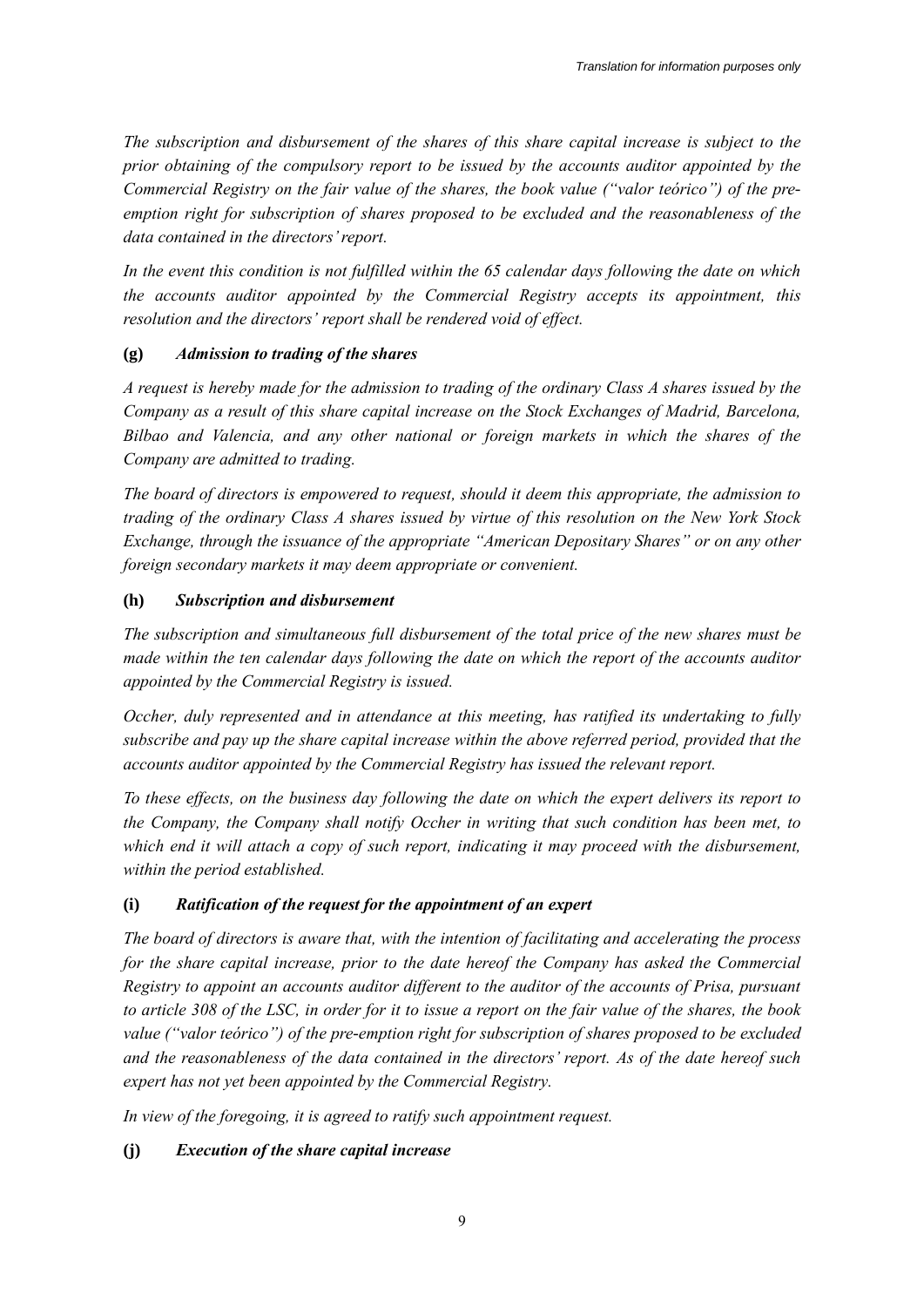*The subscription and disbursement of the shares of this share capital increase is subject to the prior obtaining of the compulsory report to be issued by the accounts auditor appointed by the Commercial Registry on the fair value of the shares, the book value ("valor teórico") of the preemption right for subscription of shares proposed to be excluded and the reasonableness of the data contained in the directors' report.*

*In the event this condition is not fulfilled within the 65 calendar days following the date on which the accounts auditor appointed by the Commercial Registry accepts its appointment, this resolution and the directors' report shall be rendered void of effect.*

### **(g)** *Admission to trading of the shares*

*A request is hereby made for the admission to trading of the ordinary Class A shares issued by the Company as a result of this share capital increase on the Stock Exchanges of Madrid, Barcelona, Bilbao and Valencia, and any other national or foreign markets in which the shares of the Company are admitted to trading.*

*The board of directors is empowered to request, should it deem this appropriate, the admission to trading of the ordinary Class A shares issued by virtue of this resolution on the New York Stock Exchange, through the issuance of the appropriate "American Depositary Shares" or on any other foreign secondary markets it may deem appropriate or convenient.*

### **(h)** *Subscription and disbursement*

*The subscription and simultaneous full disbursement of the total price of the new shares must be made within the ten calendar days following the date on which the report of the accounts auditor appointed by the Commercial Registry is issued.* 

*Occher, duly represented and in attendance at this meeting, has ratified its undertaking to fully subscribe and pay up the share capital increase within the above referred period, provided that the accounts auditor appointed by the Commercial Registry has issued the relevant report.*

*To these effects, on the business day following the date on which the expert delivers its report to the Company, the Company shall notify Occher in writing that such condition has been met, to*  which end it will attach a copy of such report, indicating it may proceed with the disbursement, *within the period established.*

## **(i)** *Ratification of the request for the appointment of an expert*

*The board of directors is aware that, with the intention of facilitating and accelerating the process for the share capital increase, prior to the date hereof the Company has asked the Commercial Registry to appoint an accounts auditor different to the auditor of the accounts of Prisa, pursuant to article 308 of the LSC, in order for it to issue a report on the fair value of the shares, the book value ("valor teórico") of the pre-emption right for subscription of shares proposed to be excluded and the reasonableness of the data contained in the directors' report. As of the date hereof such expert has not yet been appointed by the Commercial Registry.*

*In view of the foregoing, it is agreed to ratify such appointment request.*

## **(j)** *Execution of the share capital increase*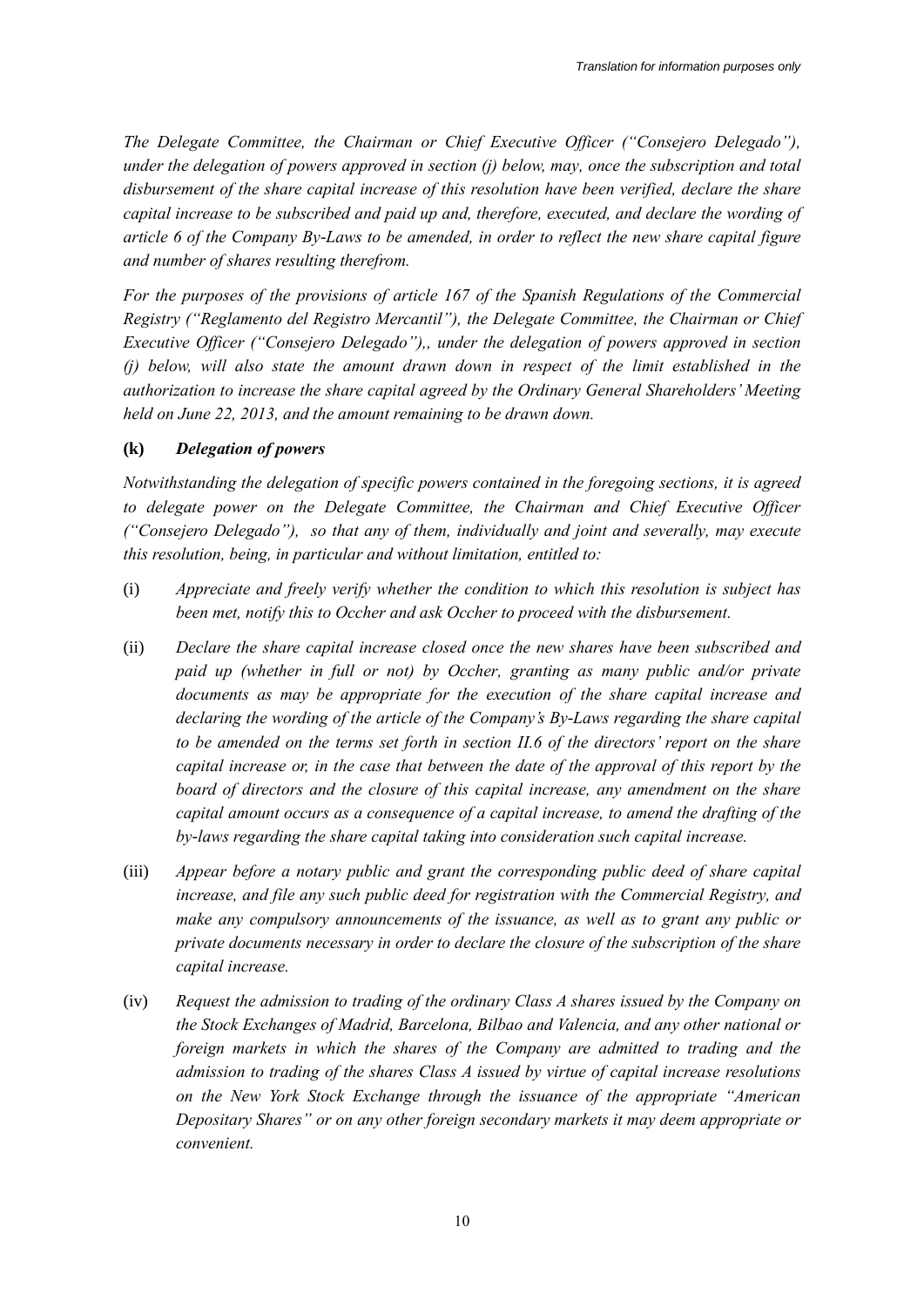*The Delegate Committee, the Chairman or Chief Executive Officer ("Consejero Delegado"), under the delegation of powers approved in section (j) below, may, once the subscription and total disbursement of the share capital increase of this resolution have been verified, declare the share capital increase to be subscribed and paid up and, therefore, executed, and declare the wording of article 6 of the Company By-Laws to be amended, in order to reflect the new share capital figure and number of shares resulting therefrom.* 

*For the purposes of the provisions of article 167 of the Spanish Regulations of the Commercial Registry ("Reglamento del Registro Mercantil"), the Delegate Committee, the Chairman or Chief Executive Officer ("Consejero Delegado"),, under the delegation of powers approved in section (j) below, will also state the amount drawn down in respect of the limit established in the authorization to increase the share capital agreed by the Ordinary General Shareholders' Meeting held on June 22, 2013, and the amount remaining to be drawn down.* 

#### **(k)** *Delegation of powers*

*Notwithstanding the delegation of specific powers contained in the foregoing sections, it is agreed to delegate power on the Delegate Committee, the Chairman and Chief Executive Officer ("Consejero Delegado"), so that any of them, individually and joint and severally, may execute this resolution, being, in particular and without limitation, entitled to:*

- (i) *Appreciate and freely verify whether the condition to which this resolution is subject has been met, notify this to Occher and ask Occher to proceed with the disbursement.*
- (ii) *Declare the share capital increase closed once the new shares have been subscribed and paid up (whether in full or not) by Occher, granting as many public and/or private documents as may be appropriate for the execution of the share capital increase and declaring the wording of the article of the Company's By-Laws regarding the share capital to be amended on the terms set forth in section II.6 of the directors' report on the share capital increase or, in the case that between the date of the approval of this report by the board of directors and the closure of this capital increase, any amendment on the share capital amount occurs as a consequence of a capital increase, to amend the drafting of the by-laws regarding the share capital taking into consideration such capital increase.*
- (iii) *Appear before a notary public and grant the corresponding public deed of share capital increase, and file any such public deed for registration with the Commercial Registry, and make any compulsory announcements of the issuance, as well as to grant any public or private documents necessary in order to declare the closure of the subscription of the share capital increase.*
- (iv) *Request the admission to trading of the ordinary Class A shares issued by the Company on the Stock Exchanges of Madrid, Barcelona, Bilbao and Valencia, and any other national or foreign markets in which the shares of the Company are admitted to trading and the admission to trading of the shares Class A issued by virtue of capital increase resolutions on the New York Stock Exchange through the issuance of the appropriate "American Depositary Shares" or on any other foreign secondary markets it may deem appropriate or convenient.*